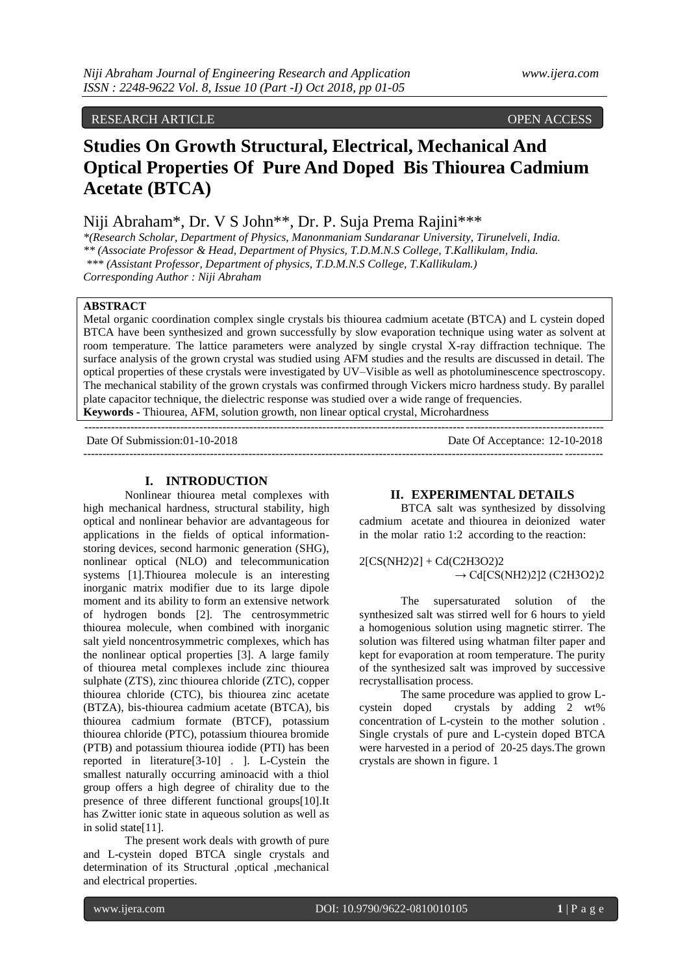## RESEARCH ARTICLE OPEN ACCESS

# **Studies On Growth Structural, Electrical, Mechanical And Optical Properties Of Pure And Doped Bis Thiourea Cadmium Acetate (BTCA)**

## Niji Abraham\*, Dr. V S John\*\*, Dr. P. Suja Prema Rajini\*\*\*

*\*(Research Scholar, Department of Physics, Manonmaniam Sundaranar University, Tirunelveli, India. \*\* (Associate Professor & Head, Department of Physics, T.D.M.N.S College, T.Kallikulam, India. \*\*\* (Assistant Professor, Department of physics, T.D.M.N.S College, T.Kallikulam.) Corresponding Author : Niji Abraham*

## **ABSTRACT**

Metal organic coordination complex single crystals bis thiourea cadmium acetate (BTCA) and L cystein doped BTCA have been synthesized and grown successfully by slow evaporation technique using water as solvent at room temperature. The lattice parameters were analyzed by single crystal X-ray diffraction technique. The surface analysis of the grown crystal was studied using AFM studies and the results are discussed in detail. The optical properties of these crystals were investigated by UV–Visible as well as photoluminescence spectroscopy. The mechanical stability of the grown crystals was confirmed through Vickers micro hardness study. By parallel plate capacitor technique, the dielectric response was studied over a wide range of frequencies. **Keywords -** Thiourea, AFM, solution growth, non linear optical crystal, Microhardness

---------------------------------------------------------------------------------------------------------------------------------------

Date Of Submission:01-10-2018 Date Of Acceptance: 12-10-2018 ---------------------------------------------------------------------------------------------------------------------------------------

#### **I. INTRODUCTION**

Nonlinear thiourea metal complexes with high mechanical hardness, structural stability, high optical and nonlinear behavior are advantageous for applications in the fields of optical informationstoring devices, second harmonic generation (SHG), nonlinear optical (NLO) and telecommunication systems [1].Thiourea molecule is an interesting inorganic matrix modifier due to its large dipole moment and its ability to form an extensive network of hydrogen bonds [2]. The centrosymmetric thiourea molecule, when combined with inorganic salt yield noncentrosymmetric complexes, which has the nonlinear optical properties [3]. A large family of thiourea metal complexes include zinc thiourea sulphate (ZTS), zinc thiourea chloride (ZTC), copper thiourea chloride (CTC), bis thiourea zinc acetate (BTZA), bis-thiourea cadmium acetate (BTCA), bis thiourea cadmium formate (BTCF), potassium thiourea chloride (PTC), potassium thiourea bromide (PTB) and potassium thiourea iodide (PTI) has been reported in literature[3-10] . ]. L-Cystein the smallest naturally occurring aminoacid with a thiol group offers a high degree of chirality due to the presence of three different functional groups[10].It has Zwitter ionic state in aqueous solution as well as in solid state[11].

The present work deals with growth of pure and L-cystein doped BTCA single crystals and determination of its Structural ,optical ,mechanical and electrical properties.

#### **II. EXPERIMENTAL DETAILS**

BTCA salt was synthesized by dissolving cadmium acetate and thiourea in deionized water in the molar ratio 1:2 according to the reaction:

2[CS(NH2)2] + Cd(C2H3O2)2  $\rightarrow$  Cd[CS(NH2)2]2 (C2H3O2)2

The supersaturated solution of the synthesized salt was stirred well for 6 hours to yield a homogenious solution using magnetic stirrer. The solution was filtered using whatman filter paper and kept for evaporation at room temperature. The purity of the synthesized salt was improved by successive recrystallisation process.

The same procedure was applied to grow Lcystein doped crystals by adding 2 wt% concentration of L-cystein to the mother solution . Single crystals of pure and L-cystein doped BTCA were harvested in a period of 20-25 days.The grown crystals are shown in figure. 1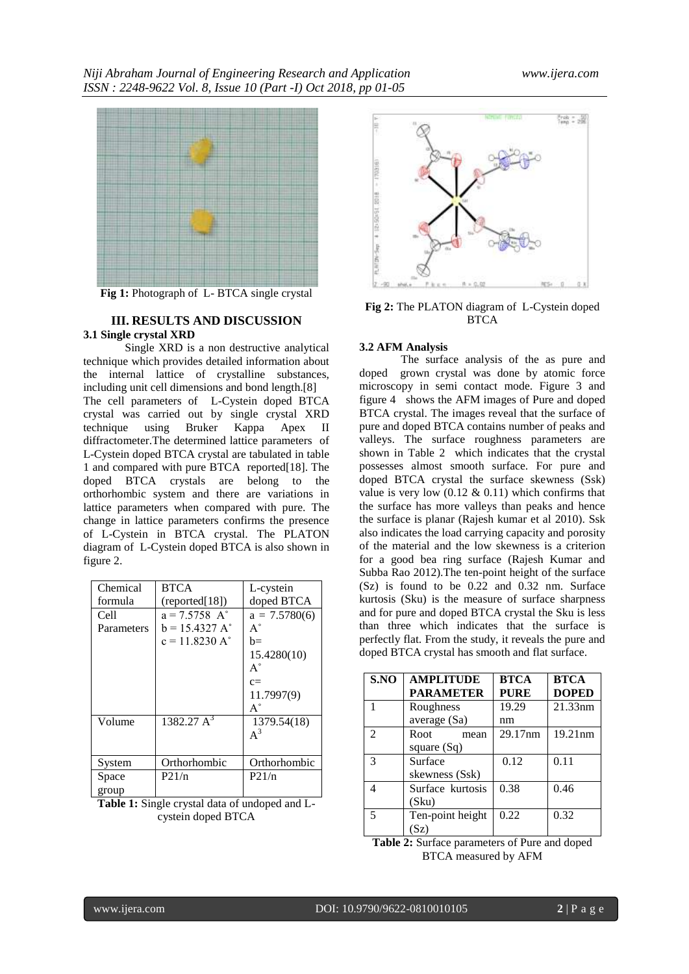

**Fig 1:** Photograph of L- BTCA single crystal

## **III. RESULTS AND DISCUSSION 3.1 Single crystal XRD**

Single XRD is a non destructive analytical technique which provides detailed information about the internal lattice of crystalline substances, including unit cell dimensions and bond length.[8] The cell parameters of L-Cystein doped BTCA crystal was carried out by single crystal XRD technique using Bruker Kappa Apex II diffractometer.The determined lattice parameters of L-Cystein doped BTCA crystal are tabulated in table 1 and compared with pure BTCA reported[18]. The doped BTCA crystals are belong to the orthorhombic system and there are variations in lattice parameters when compared with pure. The change in lattice parameters confirms the presence of L-Cystein in BTCA crystal. The PLATON diagram of L-Cystein doped BTCA is also shown in figure 2.

| Chemical   | <b>BTCA</b>                 | L-cystein       |  |
|------------|-----------------------------|-----------------|--|
| formula    | (reported[18])              | doped BTCA      |  |
| Cell       | $a = 7.5758$ A <sup>°</sup> | $a = 7.5780(6)$ |  |
| Parameters | $b = 15.4327 A^{\circ}$     | $A^{\circ}$     |  |
|            | $c = 11.8230 A^{\circ}$     | h=              |  |
|            |                             | 15.4280(10)     |  |
|            |                             | $A^{\circ}$     |  |
|            |                             | $c=$            |  |
|            |                             | 11.7997(9)      |  |
|            |                             | $A^{\circ}$     |  |
| Volume     | $1382.27 \text{ A}^3$       | 1379.54(18)     |  |
|            |                             | $A^3$           |  |
|            |                             |                 |  |
| System     | Orthorhombic                | Orthorhombic    |  |
| Space      | P21/n                       | P21/n           |  |
| group      |                             |                 |  |

**Table 1:** Single crystal data of undoped and Lcystein doped BTCA



**Fig 2:** The PLATON diagram of L-Cystein doped **BTCA** 

## **3.2 AFM Analysis**

The surface analysis of the as pure and doped grown crystal was done by atomic force microscopy in semi contact mode. Figure 3 and figure 4 shows the AFM images of Pure and doped BTCA crystal. The images reveal that the surface of pure and doped BTCA contains number of peaks and valleys. The surface roughness parameters are shown in Table 2 which indicates that the crystal possesses almost smooth surface. For pure and doped BTCA crystal the surface skewness (Ssk) value is very low  $(0.12 \& 0.11)$  which confirms that the surface has more valleys than peaks and hence the surface is planar (Rajesh kumar et al 2010). Ssk also indicates the load carrying capacity and porosity of the material and the low skewness is a criterion for a good bea ring surface (Rajesh Kumar and Subba Rao 2012).The ten-point height of the surface (Sz) is found to be 0.22 and 0.32 nm. Surface kurtosis (Sku) is the measure of surface sharpness and for pure and doped BTCA crystal the Sku is less than three which indicates that the surface is perfectly flat. From the study, it reveals the pure and doped BTCA crystal has smooth and flat surface.

| S.NO           | <b>AMPLITUDE</b><br><b>PARAMETER</b> | <b>BTCA</b><br><b>PURE</b> | <b>BTCA</b><br><b>DOPED</b> |
|----------------|--------------------------------------|----------------------------|-----------------------------|
|                | Roughness                            | 19.29                      | 21.33nm                     |
|                | average (Sa)                         | nm                         |                             |
| $\mathfrak{D}$ | Root<br>mean                         | 29.17nm                    | 19.21nm                     |
|                | square $(Sq)$                        |                            |                             |
| $\mathcal{R}$  | Surface                              | 0.12                       | 0.11                        |
|                | skewness (Ssk)                       |                            |                             |
| Δ              | Surface kurtosis                     | 0.38                       | 0.46                        |
|                | (Sku)                                |                            |                             |
| 5              | Ten-point height                     | 0.22                       | 0.32                        |
|                | (Sz)                                 |                            |                             |

**Table 2:** Surface parameters of Pure and doped BTCA measured by AFM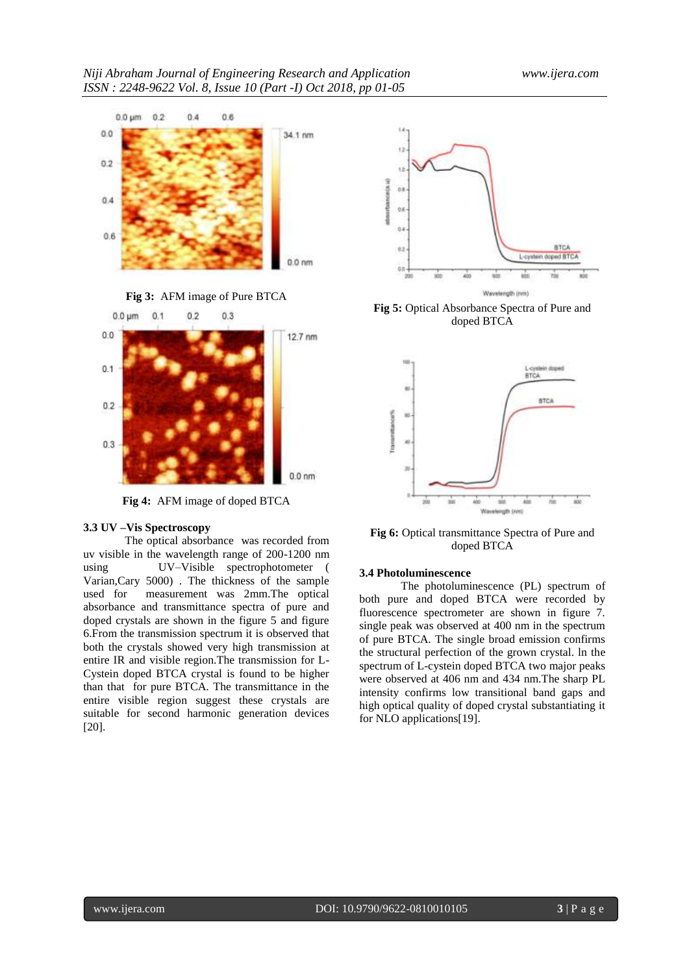

**Fig 3:** AFM image of Pure BTCA



**Fig 4:** AFM image of doped BTCA

#### **3.3 UV –Vis Spectroscopy**

The optical absorbance was recorded from uv visible in the wavelength range of 200-1200 nm using UV–Visible spectrophotometer ( Varian,Cary 5000) . The thickness of the sample used for measurement was 2mm.The optical absorbance and transmittance spectra of pure and doped crystals are shown in the figure 5 and figure 6.From the transmission spectrum it is observed that both the crystals showed very high transmission at entire IR and visible region.The transmission for L-Cystein doped BTCA crystal is found to be higher than that for pure BTCA. The transmittance in the entire visible region suggest these crystals are suitable for second harmonic generation devices [20].



**Fig 5:** Optical Absorbance Spectra of Pure and doped BTCA



**Fig 6:** Optical transmittance Spectra of Pure and doped BTCA

#### **3.4 Photoluminescence**

The photoluminescence (PL) spectrum of both pure and doped BTCA were recorded by fluorescence spectrometer are shown in figure 7. single peak was observed at 400 nm in the spectrum of pure BTCA. The single broad emission confirms the structural perfection of the grown crystal. ln the spectrum of L-cystein doped BTCA two major peaks were observed at 406 nm and 434 nm.The sharp PL intensity confirms low transitional band gaps and high optical quality of doped crystal substantiating it for NLO applications[19].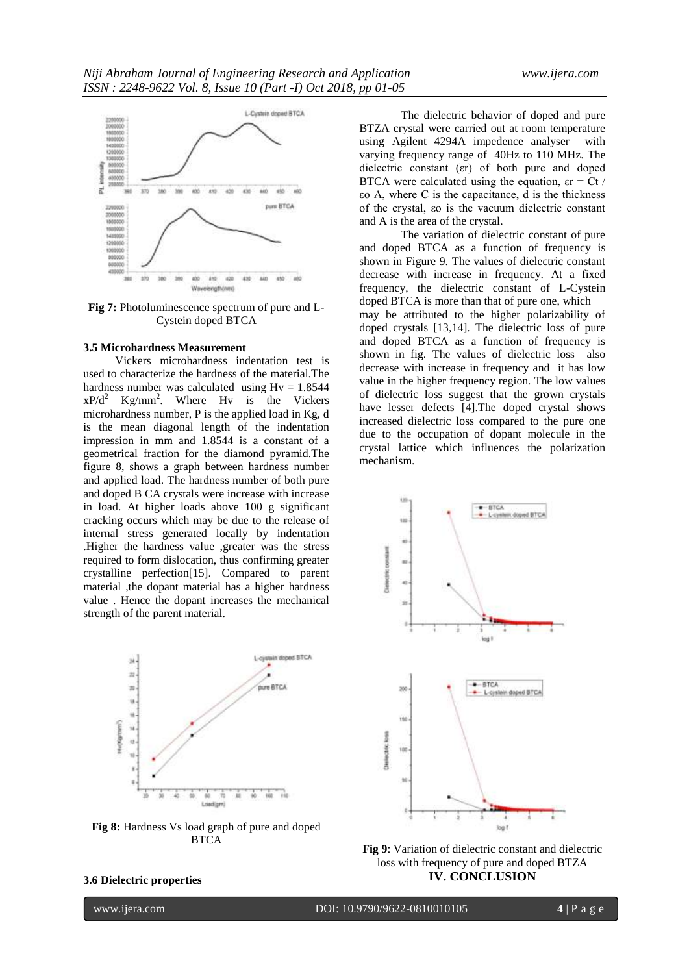

**Fig 7:** Photoluminescence spectrum of pure and L-Cystein doped BTCA

#### **3.5 Microhardness Measurement**

 Vickers microhardness indentation test is used to characterize the hardness of the material.The hardness number was calculated using  $Hv = 1.8544$  $xP/d^2$  Kg/mm<sup>2</sup>. Where Hv is the Vickers microhardness number, P is the applied load in Kg, d is the mean diagonal length of the indentation impression in mm and 1.8544 is a constant of a geometrical fraction for the diamond pyramid.The figure 8, shows a graph between hardness number and applied load. The hardness number of both pure and doped B CA crystals were increase with increase in load. At higher loads above 100 g significant cracking occurs which may be due to the release of internal stress generated locally by indentation .Higher the hardness value ,greater was the stress required to form dislocation, thus confirming greater crystalline perfection[15]. Compared to parent material ,the dopant material has a higher hardness value . Hence the dopant increases the mechanical strength of the parent material.



**Fig 8:** Hardness Vs load graph of pure and doped **BTCA** 

## **3.6 Dielectric properties**

The dielectric behavior of doped and pure BTZA crystal were carried out at room temperature using Agilent 4294A impedence analyser with varying frequency range of 40Hz to 110 MHz. The dielectric constant (εr) of both pure and doped BTCA were calculated using the equation,  $\epsilon r = Ct / T$ εo A, where C is the capacitance, d is the thickness of the crystal, εo is the vacuum dielectric constant and A is the area of the crystal.

The variation of dielectric constant of pure and doped BTCA as a function of frequency is shown in Figure 9. The values of dielectric constant decrease with increase in frequency. At a fixed frequency, the dielectric constant of L-Cystein doped BTCA is more than that of pure one, which may be attributed to the higher polarizability of doped crystals [13,14]. The dielectric loss of pure and doped BTCA as a function of frequency is shown in fig. The values of dielectric loss also decrease with increase in frequency and it has low value in the higher frequency region. The low values of dielectric loss suggest that the grown crystals have lesser defects [4].The doped crystal shows increased dielectric loss compared to the pure one due to the occupation of dopant molecule in the crystal lattice which influences the polarization mechanism.